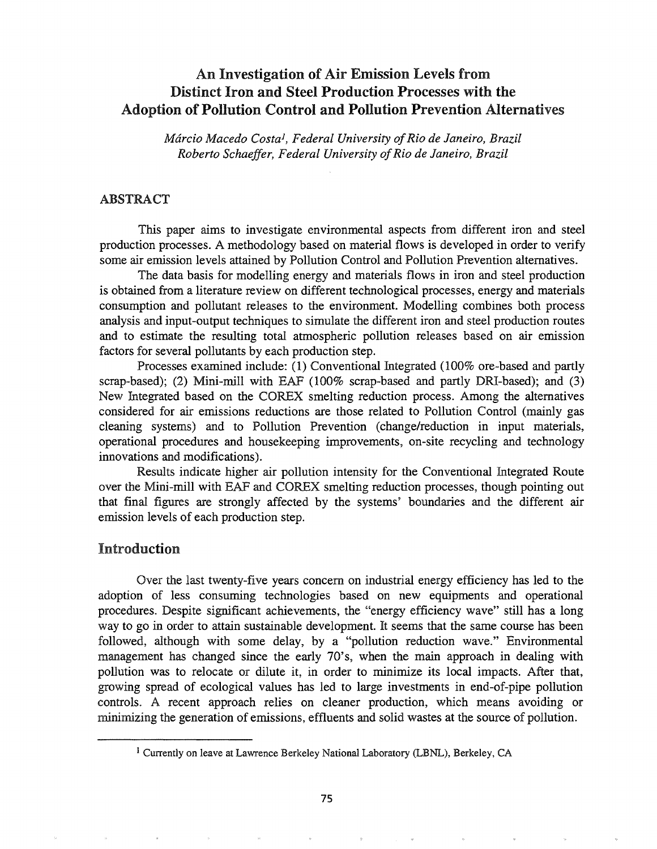# An Investigation of Air Emission Levels from Distinct Iron and Steel Production Processes with the Adoption of Pollution Control and Pollution Prevention Alternatives

*Marcio Macedo Costal, Federal University ofRio de Janeiro, Brazil Roberto Schaeffer, Federal University ofRio de Janeiro, Brazil*

#### ABSTRACT

This paper aims to investigate environmental aspects from different iron and steel production processes. A methodology based on material flows is developed in order to verify some air emission levels attained by Pollution Control and Pollution Prevention alternatives.

The data basis for modelling energy and materials flows in iron and steel production is obtained from a literature review on different technological processes, energy and materials consumption and pollutant releases to the environment. Modelling combines both process analysis and input-output techniques to simulate the different iron and steel production routes and to estimate the resulting total atmospheric pollution releases based on air emission factors for several pollutants by each production step.

Processes examined include: (1) Conventional Integrated (100% ore-based and partly scrap-based); (2) Mini-mill with EAF (100% scrap-based and partly DRI-based); and (3) New Integrated based on the COREX smelting reduction process. Among the alternatives considered for air emissions reductions are those related to Pollution Control (mainly gas cleaning systems) and to Pollution Prevention (change/reduction in input materials, operational procedures and housekeeping improvements, on-site recycling and technology innovations and modifications).

Results indicate higher air pollution intensity for the Conventional Integrated Route over the Mini-mill with EAF and COREX smelting reduction processes, though pointing out that final figures are strongly affected by the systems' boundaries and the different air emission levels of each production step.

# Introduction

Over the last twenty-five years concern on industrial energy efficiency has led to the adoption of less consuming technologies based on new equipments and operational procedures. Despite significant achievements, the "energy efficiency wave" still has a long way to go in order to attain sustainable development. It seems that the same course has been followed, although with some delay, by a "pollution reduction wave." Environmental management has changed since the early 70's, when the main approach in dealing with pollution was to relocate or dilute it, in order to minimize its local impacts. After that, growing spread of ecological values has led to large investments in end-of-pipe pollution controls. A recent approach relies on cleaner production, which means avoiding or minimizing the generation of emissions, effluents and solid wastes at the source of pollution.

<sup>&</sup>lt;sup>1</sup> Currently on leave at Lawrence Berkeley National Laboratory (LBNL), Berkeley, CA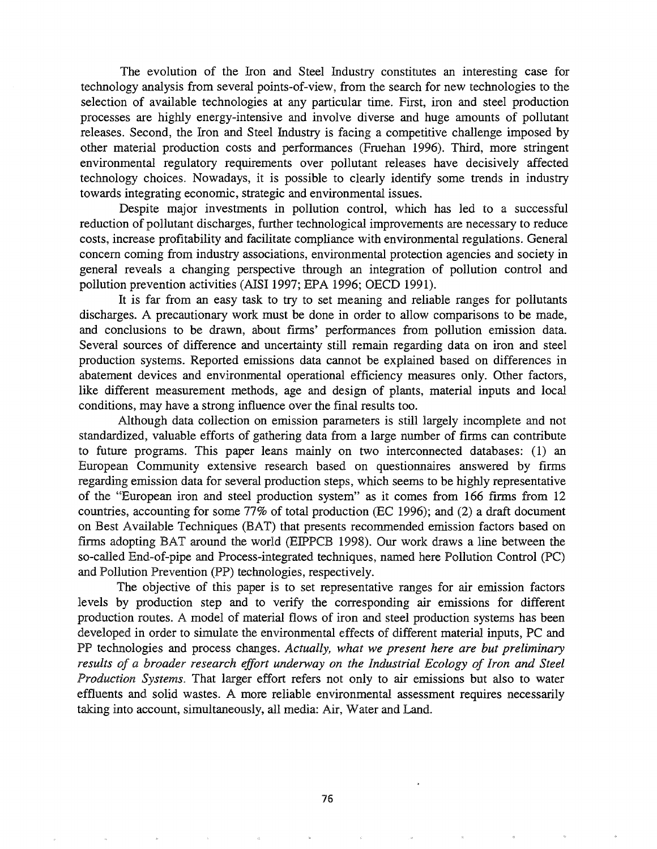The evolution of the Iron and Steel Industry constitutes an interesting case for technology analysis from several points-of-view, from the search for new technologies to the selection of available technologies at any particular time. First, iron and steel production processes are highly energy-intensive and involve diverse and huge amounts of pollutant releases. Second, the Iron and Steel Industry is facing a competitive challenge imposed by other material production costs and performances (Fruehan 1996). Third, more stringent environmental regulatory requirements over pollutant releases have decisively affected technology choices. Nowadays, it is possible to clearly identify some trends in industry towards integrating economic, strategic and environmental issues.

Despite major investments in pollution control, which has led to a successful reduction of pollutant discharges, further technological improvements are necessary to reduce costs, increase profitability and facilitate compliance with environmental regulations. General concern coming from industry associations, environmental protection agencies and society in general reveals a changing perspective through an integration of pollution control and pollution prevention activities (AISI 1997; EPA 1996; OECD 1991).

It is far from an easy task to try to set meaning and reliable ranges for pollutants discharges. A precautionary work must be done in order to allow comparisons to be made, and conclusions to be drawn, about firms' performances from pollution emission data. Several sources of difference and uncertainty still remain regarding data on iron and steel production systems. Reported emissions data cannot be explained based on differences in abatement devices and environmental operational efficiency measures only. Other factors, like different measurement methods, age and design of plants, material inputs and local conditions, may have a strong influence over the final results too.

Although data collection on emission parameters is still largely incomplete and not standardized, valuable efforts of gathering data from a large number of firms can contribute to future programs. This paper leans mainly on two interconnected databases: (1) an European Community extensive research based on questionnaires answered by firms regarding emission data for several production steps, which seems to be highly representative of the "European iron and steel production system" as it comes from 166 firms from 12 countries, accounting for some 77% of total production (EC 1996); and (2) a draft document on Best Available Techniques (BAT) that presents recommended emission factors based on firms adopting BAT around the world (EIPPCB 1998). Our work draws a line between the so-called End-of-pipe and Process-integrated techniques, named here Pollution Control (PC) and Pollution Prevention (PP) technologies, respectively.

The objective of this paper is to set representative ranges for air emission factors levels by production step and to verify the corresponding air emissions for different production routes. A model of material flows of iron and steel production systems has been developed in order to simulate the environmental effects of different material inputs, PC and technologies and process changes. *Actually, what we present here are but preliminary results of a broader research effort underway on the Industrial Ecology of Iron and Steel Production Systems.* That larger effort refers not only to air emissions but also to water effluents and solid wastes. A more reliable environmental assessment requires necessarily taking into account, simultaneously, all media: Air, Water and Land.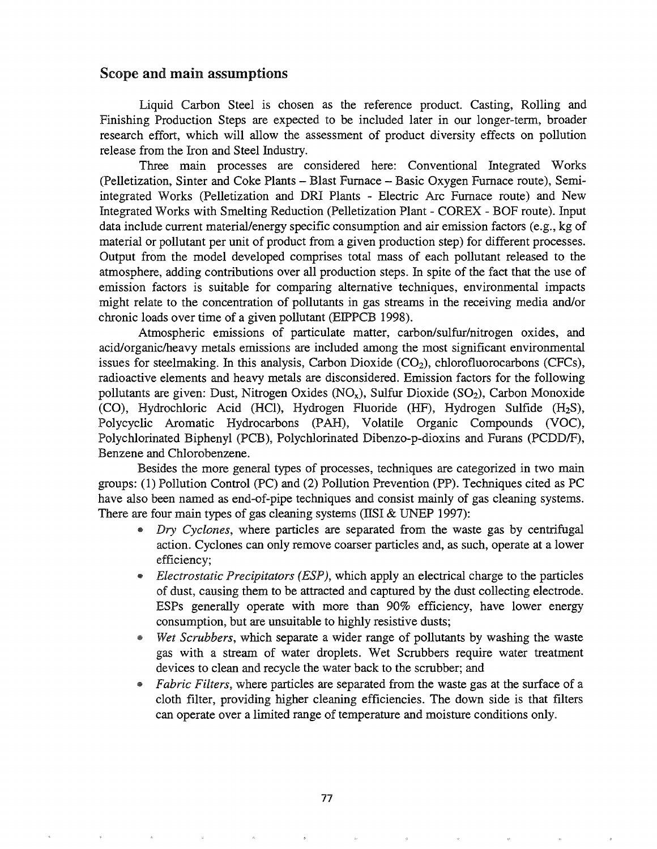# Scope and main assumptions

Liquid Carbon Steel is chosen as the reference product. Casting, Rolling and Finishing Production Steps are expected to be included later in our longer-term, broader research effort, which will allow the assessment of product diversity effects on pollution release from the Iron and Steel Industry.

Three main processes are considered here: Conventional Integrated Works (Pelletization, Sinter and Coke Plants - Blast Furnace - Basic Oxygen Furnace route), Semiintegrated Works (Pelletization and DR! Plants - Electric Arc Furnace route) and New Integrated Works with Smelting Reduction (Pelletization Plant - COREX - BOF route). Input data include current material/energy specific consumption and air emission factors (e.g., kg of material or pollutant per unit of product from a given production step) for different processes. Output from the model developed comprises total mass of each pollutant released to the atmosphere, adding contributions over all production steps. In spite of the fact that the use of emission factors is suitable for comparing alternative techniques, environmental impacts might relate to the concentration of pollutants in gas streams in the receiving media and/or chronic loads over time of a given pollutant (ElPPCB 1998).

Atmospheric emissions of particulate matter, carbon/sulfur/nitrogen oxides, and acid/organic/heavy metals emissions are included among the most significant environmental issues for steelmaking. In this analysis, Carbon Dioxide  $(CO_2)$ , chlorofluorocarbons (CFCs), radioactive elements and heavy metals are disconsidered. Emission factors for the following pollutants are given: Dust, Nitrogen Oxides  $(NO_x)$ , Sulfur Dioxide  $(SO_2)$ , Carbon Monoxide (CO), Hydrochloric Acid (Hel), Hydrogen Fluoride (HF), Hydrogen Sulfide (H2S), Polycyclic Aromatic Hydrocarbons (PAH), Volatile Organic Compounds (VOC), Polychlorinated Biphenyl (PCB), Polychlorinated Dibenzo-p-dioxins and Furans (PCDDIF), Benzene and Chlorobenzene.

Besides the more general types of processes, techniques are categorized in two main groups: (1) Pollution Control (PC) and (2) Pollution Prevention (PP). Techniques cited as PC have also been named as end-of-pipe techniques and consist mainly of gas cleaning systems. There are four main types of gas cleaning systems (IISI  $&$  UNEP 1997):

- *<sup>9</sup> Dry Cyclones,* where particles are separated from the waste gas by centrifugal action. Cyclones can only remove coarser particles and, as such, operate at a lower efficiency;
- <sup>9</sup> *Electrostatic Precipitators (ESP),* which apply an electrical charge to the particles of dust, causing them to be attracted and captured by the dust collecting electrode. ESPs generally operate with more than 90% efficiency, have lower energy consumption, but are unsuitable to highly resistive dusts;
- e *Wet Scrubbers,* which separate a wider range of pollutants by washing the waste gas with a stream of water droplets. Wet Scrubbers require water treatment devices to clean and recycle the water back to the scrubber; and
- @ *Fabric Filters,* where particles are separated from the waste gas at the surface of a cloth filter, providing higher cleaning efficiencies. The down side is that filters can operate over a limited range of temperature and moisture conditions only.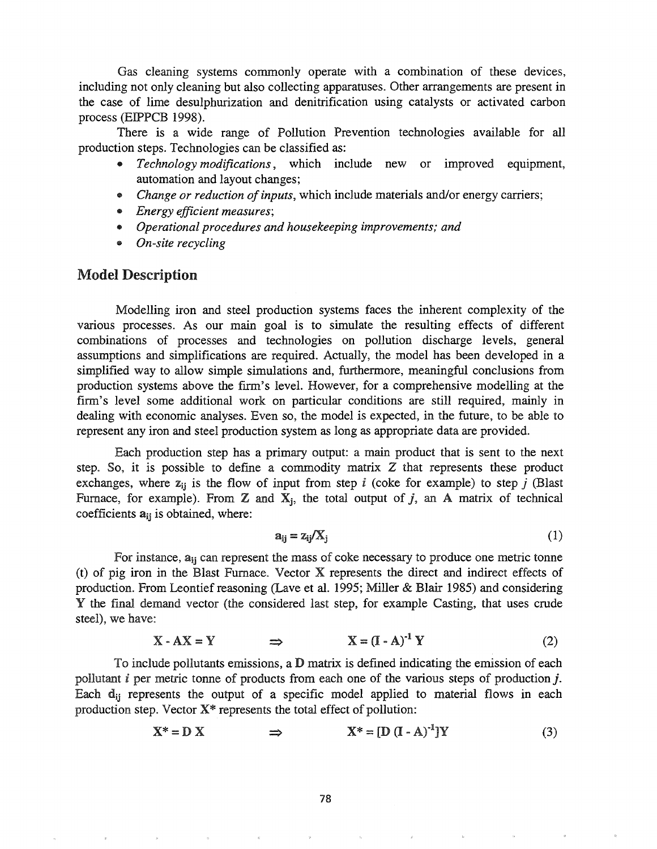Gas cleaning systems commonly operate with a combination of these devices, including not only cleaning but also collecting apparatuses. Other arrangements are present in the case of lime desulphurization and denitrification using catalysts or activated carbon process (EIPPCB 1998).

There is a wide range of Pollution Prevention technologies available for all production steps. Technologies can be classified as:

- .. *Technology modifications,* which include new or improved equipment, automation and layout changes;
- *Change or reduction of inputs*, which include materials and/or energy carriers;
- .. *Energy efficient measures;*
- .. *Operational procedures and housekeeping improvements; and*
- *• On-site recycling*

#### Model Description

Modelling iron and steel production systems faces the inherent complexity of the various processes. As our main goal is to simulate the resulting effects of different combinations of processes and technologies on pollution discharge levels, general assumptions and simplifications are required. Actually, the model has been developed in a simplified way to allow simple simulations and, furthermore, meaningful conclusions from production systems above the frrm's level. However, for a comprehensive modelling at the firm's level some additional work on particular conditions are still required, mainly in dealing with economic analyses. Even so, the model is expected, in the future, to be able to represent any iron and steel production system as long as appropriate data are provided.

Each production step has a primary output: a main product that is sent to the next step. So, it is possible to define a commodity matrix  $Z$  that represents these product exchanges, where  $z_{ii}$  is the flow of input from step *i* (coke for example) to step *j* (Blast Furnace, for example). From  $Z$  and  $X_j$ , the total output of j, an A matrix of technical coefficients  $a_{ij}$  is obtained, where:

$$
a_{ij} = z_{ij}/X_j \tag{1}
$$

For instance,  $a_{ij}$  can represent the mass of coke necessary to produce one metric tonne  $(t)$  of pig iron in the Blast Furnace. Vector X represents the direct and indirect effects of production. From Leontief reasoning (Lave et al. 1995; Miller & Blair 1985) and considering Y the final demand vector (the considered last step, for example Casting, that uses crude steel), we have:

$$
X - AX = Y \qquad \Rightarrow \qquad X = (I - A)^{-1} Y \tag{2}
$$

To include pollutants emissions, a  $D$  matrix is defined indicating the emission of each pollutant *i* per metric tonne of products from each one of the various steps of production *j*. Each  $d_{ij}$  represents the output of a specific model applied to material flows in each production step. Vector X\* represents the total effect of pollution:

$$
X^* = D X \qquad \Rightarrow \qquad X^* = [D (I - A)^{-1}]Y \qquad (3)
$$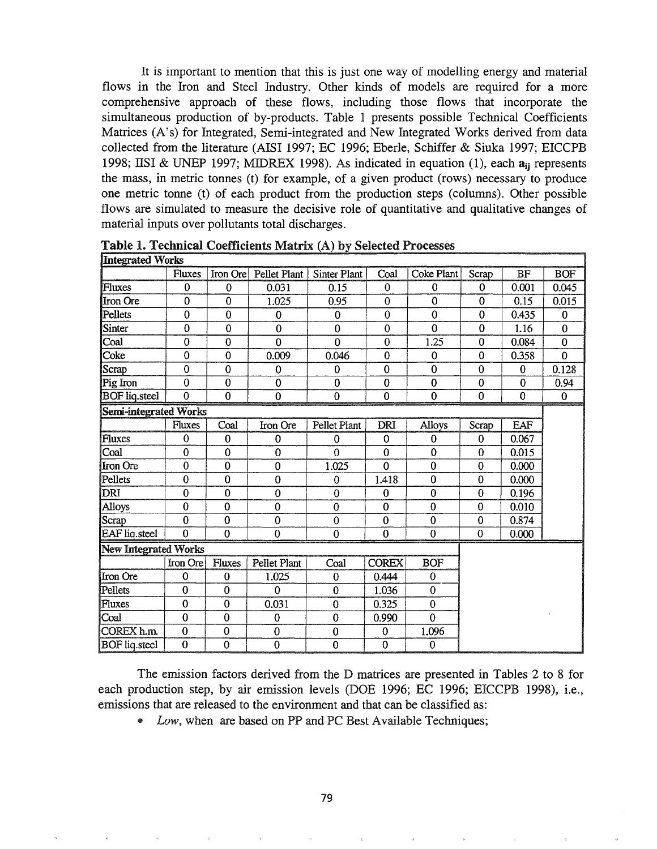It is important to mention that this is just one way of modelling energy and material flows in the Iron and Steel Industry. Other kinds of models are required for a more comprehensive approach of these flows, including those flows that incorporate the simultaneous production of by-products. Table 1 presents possible Technical Coefficients Matrices (A's) for Integrated, Semi-integrated and New Integrated Works derived from data collected from the literature (AISI 1997; EC 1996; Eberle, Schiffer & Siuka 1997; EICCPB 1998; IISI & UNEP 1997; MIDREX 1998). As indicated in equation (1), each  $a_{ii}$  represents the mass, in metric tonnes (t) for example, of a given product (rows) necessary to produce one metric tonne (t) of each product from the production steps (columns). Other possible flows are simulated to measure the decisive role of quantitative and qualitative changes of material inputs over pollutants total discharges.

| <b>Integrated Works</b>      |                |                |                |                |                |                |                |                |             |
|------------------------------|----------------|----------------|----------------|----------------|----------------|----------------|----------------|----------------|-------------|
|                              | <b>Fluxes</b>  | Iron Ore       | Pellet Plant   | Sinter Plant   | Coal           | Coke Plant     | Scrap          | <b>BF</b>      | <b>BOF</b>  |
| Fluxes                       | $\mathbf 0$    | $\mathbf 0$    | 0.031          | 0.15           | 0              | $\bf{0}$       | $\Omega$       | 0.001          | 0.045       |
| Iron Ore                     | $\mathbf 0$    | $\overline{0}$ | 1.025          | 0.95           | $\bf{0}$       | $\mathbf 0$    | $\mathbf 0$    | 0.15           | 0.015       |
| Pellets                      | $\overline{0}$ | $\bf{0}$       | 0              | $\bf{0}$       | $\bf{0}$       | $\bf{0}$       | $\mathbf 0$    | 0.435          | $\bf{0}$    |
| <b>Sinter</b>                | $\overline{0}$ | $\mathbf 0$    | $\overline{0}$ | $\overline{0}$ | $\mathbf 0$    | $\mathbf 0$    | $\bf{0}$       | 1.16           | $\bf{0}$    |
| Coal                         | $\mathbf 0$    | $\overline{0}$ | $\overline{0}$ | $\overline{0}$ | $\bf{0}$       | 1.25           | $\bf{0}$       | 0.084          | $\bf{0}$    |
| Coke                         | $\overline{0}$ | $\overline{0}$ | 0.009          | 0.046          | $\overline{0}$ | $\mathbf 0$    | $\bf{0}$       | 0.358          | $\mathbf 0$ |
| Scrap                        | $\mathbf 0$    | $\overline{0}$ | $\overline{0}$ | $\bf{0}$       | $\overline{0}$ | $\overline{0}$ | $\overline{0}$ | $\overline{0}$ | 0.128       |
| Pig Iron                     | $\overline{0}$ | $\overline{0}$ | $\overline{0}$ | $\mathbf{0}$   | $\mathbf 0$    | $\bf{0}$       | $\Omega$       | $\overline{0}$ | 0.94        |
| <b>BOF</b> liq.steel         | $\mathbf{0}$   | $\overline{0}$ | $\bf{0}$       | $\bf{0}$       | $\mathbf 0$    | $\bf{0}$       | $\mathbf 0$    | $\overline{0}$ | $\mathbf 0$ |
| <b>Semi-integrated Works</b> |                |                |                |                |                |                |                |                |             |
|                              | Fluxes         | Coal           | Iron Ore       | Pellet Plant   | <b>DRI</b>     | <b>Alloys</b>  | Scrap          | <b>EAF</b>     |             |
| Fluxes                       | $\mathbf 0$    | $\bf{0}$       | $\bf{0}$       | $\mathbf 0$    | $\mathbf 0$    | $\bf{0}$       | 0              | 0.067          |             |
| Coal                         | $\overline{0}$ | $\mathbf 0$    | $\bf{0}$       | $\overline{0}$ | $\bf{0}$       | $\mathbf 0$    | $\mathbf 0$    | 0.015          |             |
| Iron Ore                     | $\overline{0}$ | $\overline{0}$ | $\mathbf 0$    | 1.025          | $\overline{0}$ | $\overline{0}$ | $\bf{0}$       | 0.000          |             |
| Pellets                      | $\mathbf 0$    | $\bf{0}$       | $\mathbf 0$    | $\bf{0}$       | 1.418          | $\bf{0}$       | $\bf{0}$       | 0.000          |             |
| DRI                          | $\mathbf 0$    | $\mathbf 0$    | $\overline{0}$ | $\mathbf 0$    | $\mathbf 0$    | $\overline{0}$ | $\bf{0}$       | 0.196          |             |
| Alloys                       | $\overline{0}$ | $\mathbf 0$    | $\mathbf 0$    | $\mathbf 0$    | $\mathbf 0$    | $\bf{0}$       | $\bf{0}$       | 0.010          |             |
| Scrap                        | $\bf{0}$       | $\bf{0}$       | $\mathbf 0$    | $\bf{0}$       | $\bf{0}$       | $\bf{0}$       | $\bf{0}$       | 0.874          |             |
| <b>EAF</b> liq.steel         | $\overline{0}$ | $\overline{0}$ | $\overline{0}$ | $\mathbf 0$    | $\mathbf 0$    | $\overline{0}$ | $\bf{0}$       | 0.000          |             |
| <b>New Integrated Works</b>  |                |                |                |                |                |                |                |                |             |
|                              | Iron Ore       | Fluxes         | Pellet Plant   | Coal           | <b>COREX</b>   | <b>BOF</b>     |                |                |             |
| Iron Ore                     | $\mathbf 0$    | $\bf{0}$       | 1.025          | $\mathbf 0$    | 0.444          | $\mathbf 0$    |                |                |             |
| Pellets                      | $\overline{0}$ | $\overline{0}$ | $\Omega$       | $\bf{0}$       | 1.036          | $\overline{0}$ |                |                |             |
| Fluxes                       | $\bf{0}$       | $\mathbf 0$    | 0.031          | $\mathbf 0$    | 0.325          | $\overline{0}$ |                |                |             |
| Coal                         | $\bf{0}$       | $\bf{0}$       | $\mathbf 0$    | $\mathbf 0$    | 0.990          | $\overline{0}$ |                |                |             |
| COREX h.m.                   | $\bf{0}$       | $\mathbf 0$    | $\overline{0}$ | $\bf{0}$       | 0              | 1.096          |                |                |             |
| <b>BOF</b> liq.steel         | $\overline{0}$ | $\overline{0}$ | $\overline{0}$ | $\overline{0}$ | $\overline{0}$ | 0              |                |                |             |

Table 1. Technical Coefficients Matrix (A) by Selected Processes

The emission factors derived from the D matrices are presented in Tables 2 to 8 for each production step, by air emission levels (DOE 1996; EC 1996; EICCPB 1998), i.e., emissions that are released to the environment and that can be classified as:

@ *Low,* when are based on PP and PC Best Available Techniques;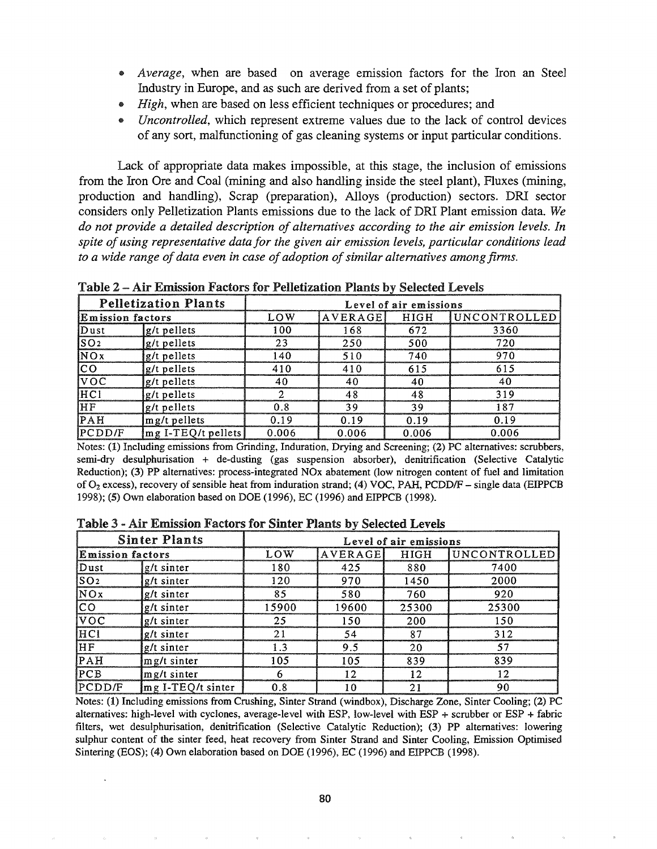- *Average*, when are based on average emission factors for the Iron an Steel Industry in Europe, and as such are derived from a set of plants;
- *• High,* when are based on less efficient techniques or procedures; and
- *Uncontrolled*, which represent extreme values due to the lack of control devices of any sort, malfunctioning of gas cleaning systems or input particular conditions.

Lack of appropriate data makes impossible, at this stage, the inclusion of emissions from the Iron Ore and Coal (mining and also handling inside the steel plant), Fluxes (mining, production and handling), Scrap (preparation), Alloys (production) sectors. DR! sector considers only Pelletization Plants emissions due to the lack of DR! Plant emission data. *We do not provide a detailed description of alternatives according to the air emission levels. In spite ofusing representative data for the given air emission levels, particular conditions lead to a* wide range of data even in case of adoption of similar alternatives among firms.

Table 2 – Air Emission Factors for Pelletization Plants by Selected Levels

|                          | <b>Pelletization Plants</b>          | Level of air emissions |         |       |                             |  |  |  |  |
|--------------------------|--------------------------------------|------------------------|---------|-------|-----------------------------|--|--|--|--|
| <b>E</b> mission factors |                                      | LOW                    | AVERAGE | HIGH  | <i><b>IUNCONTROLLED</b></i> |  |  |  |  |
| Dust                     | g/t pellets                          | 100                    | 168     | 672   | 3360                        |  |  |  |  |
| $\sqrt{\text{SO2}}$      | g/t pellets                          | 23                     | 250     | 500   | 720                         |  |  |  |  |
| NOX                      | g/t pellets                          | 140                    | 510     | 740   | 970                         |  |  |  |  |
| $\overline{CO}$          | g/t pellets                          | 410                    | 410     | 615   | 615                         |  |  |  |  |
| $\overline{VOC}$         | g/t pellets                          | 40                     | 40      | 40    | 40                          |  |  |  |  |
| HCI                      | g/t pellets                          |                        | 48      | 48    | 319                         |  |  |  |  |
| <b>IHF</b>               | g/t pellets                          | 0.8                    | 39      | 39    | 187                         |  |  |  |  |
| PAH                      | mg/t pellets                         | በ 1 ዓ                  | 0.19    | 0.19  | በ 19                        |  |  |  |  |
| PCDD/F                   | $\lfloor mg \text{ I-TEQ/t}$ pellets | 0.006                  | 0.006   | 0.006 | 0.006                       |  |  |  |  |

Notes: (1) Including emissions from Grinding, Induration, Drying and Screening; (2) PC alternatives: scrubbers, semi-dry desulphurisation + de-dusting (gas suspension absorber), denitrification (Selective Catalytic Reduction); (3) PP alternatives: process-integrated NOx abatement (low nitrogen content of fuel and limitation of  $O_2$  excess), recovery of sensible heat from induration strand; (4) VOC, PAH, PCDD/F - single data (EIPPCB 1998); (5) Own elaboration based on DOE (1996), EC (1996) and EIPPCB (1998).

|                         | <b>Sinter Plants</b> | Level of air emissions |         |       |              |  |  |  |
|-------------------------|----------------------|------------------------|---------|-------|--------------|--|--|--|
| <b>Emission factors</b> |                      | LOW                    | AVERAGE | HIGH  | UNCONTROLLED |  |  |  |
| Dust                    | g/t sinter           | 180                    | 425     | 880   | 7400         |  |  |  |
| $\overline{\text{SO2}}$ | g/t sinter           | 120                    | 970     | 1450  | 2000         |  |  |  |
| $\overline{NQ}$         | $g/t$ sinter         | 85                     | 580     | 760   | 920          |  |  |  |
| <b>CO</b>               | g/t sinter           | 15900                  | 19600   | 25300 | 25300        |  |  |  |
| $\overline{VOC}$        | $g/t$ sinter         | 25                     | 150     | 200   | 150          |  |  |  |
| HCI                     | $g/t$ sinter         | 21                     | 54      | 87    | 312          |  |  |  |
| HF                      | g/t sinter           | 1.3                    | 9.5     | 20    | 57           |  |  |  |
| $\overline{\text{PAH}}$ | mg/t sinter          | 105                    | 105     | 839   | 839          |  |  |  |
| PCB                     | $mg/t$ sinter        |                        | 12      | 12    | 12           |  |  |  |
| PCDD/F                  | mg I-TEQ/t sinter    | 0.8                    | 10      | 21    | 90           |  |  |  |

Table 3 - Air Emission Factors for Sinter Plants by Selected Levels

Notes: (1) Including emissions from Crushing, Sinter Strand (windbox), Discharge Zone, Sinter Cooling; (2) PC alternatives: high-level with cyclones, average-level with ESP, low-level with ESP + scrubber or ESP + fabric filters, wet desulphurisation, denitrification (Selective Catalytic Reduction); (3) PP alternatives: lowering sulphur content of the sinter feed, heat recovery from Sinter Strand and Sinter Cooling, Emission Optimised Sintering (EOS); (4) Own elaboration based on DOE (1996), EC (1996) and EIPPCB (1998).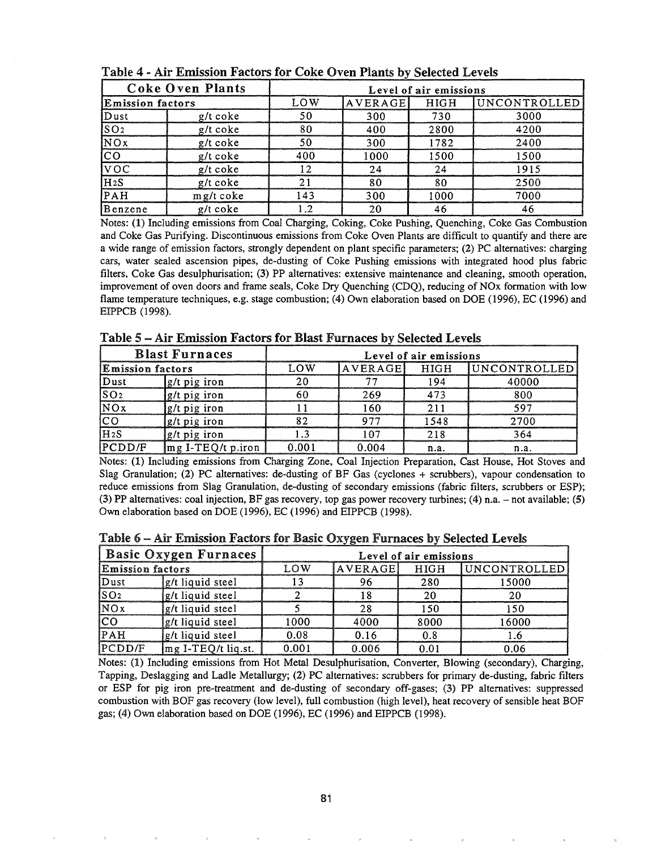|                         | <b>Coke Oven Plants</b> | Level of air emissions |         |      |              |  |  |  |  |
|-------------------------|-------------------------|------------------------|---------|------|--------------|--|--|--|--|
| <b>Emission factors</b> |                         | LOW                    | AVERAGE | HIGH | UNCONTROLLED |  |  |  |  |
| Dust                    | $g/t$ coke              | 50                     | 300     | 730  | 3000         |  |  |  |  |
| SO <sub>2</sub>         | g/t coke                | 80                     | 400     | 2800 | 4200         |  |  |  |  |
| NOx                     | g/t coke                | 50                     | 300     | 1782 | 2400         |  |  |  |  |
| lco                     | $g/t$ coke              | 400                    | 1000    | 1500 | 1500         |  |  |  |  |
| $\overline{VOC}$        | $g/t$ coke              | 12                     | 24      | 24   | 1915         |  |  |  |  |
| H2S                     | $g/t$ coke              | 21                     | 80      | 80   | 2500         |  |  |  |  |
| PAH                     | mg/t coke               | 143                    | 300     | 1000 | 7000         |  |  |  |  |
| Benzene                 | g/t coke                | 1.2                    | 20      | 46   | 46           |  |  |  |  |

Table 4 - Air Emission Factors for Coke Oven Plants by Selected Levels

Notes: (1) Including emissions from Coal Charging, Coking, Coke Pushing, Quenching, Coke Gas Combustion and Coke Gas Purifying. Discontinuous emissions from Coke Oven Plants are difficult to quantify and there are a wide range of emission factors, strongly dependent on plant specific parameters; (2) PC alternatives: charging cars, water sealed ascension pipes, de-dusting of Coke Pushing emissions with integrated hood plus fabric filters, Coke Gas desulphurisation; (3) PP alternatives: extensive maintenance and cleaning, smooth operation, improvement of oven doors and frame seals, Coke Dry Quenching (CDQ), reducing of NOx formation with low flame temperature techniques, e.g. stage combustion; (4) Own elaboration based on DOE (1996), EC (1996) and EIPPCB (1998).

Table 5 - Air Emission Factors for Blast Furnaces by Selected Levels

|                         | <b>Blast Furnaces</b>  | Level of air emissions |     |      |                           |  |  |  |
|-------------------------|------------------------|------------------------|-----|------|---------------------------|--|--|--|
| <b>Emission factors</b> |                        | ោw                     |     |      | AVERAGE HIGH UNCONTROLLED |  |  |  |
| )nst                    | $\lg$ /t pig iron      |                        |     |      |                           |  |  |  |
|                         | lg/t pig iron          |                        | 760 |      |                           |  |  |  |
|                         | g/t pig iron           |                        |     |      |                           |  |  |  |
|                         | g/t pig iron           |                        |     | 1548 | 700                       |  |  |  |
| $H_{2}S$                | g/t pig iron           |                        |     |      |                           |  |  |  |
| <b>IPCDD/F</b>          | $\ln g$ I-TEQ/t p.iron |                        |     | n.a. |                           |  |  |  |

Notes: (1) Including emissions from Charging Zone, Coal Injection Preparation, Cast House, Hot Stoves and Slag Granulation; (2) PC alternatives: de-dusting of BF Gas (cyclones + scrubbers), vapour condensation to reduce emissions from Slag Granulation, de-dusting of secondary emissions (fabric filters, scrubbers or ESP); (3) PP alternatives: coal injection, BF gas recovery, top gas power recovery turbines; (4) n.a. - not available; (5) Own elaboration based on DOE (1996), EC (1996) and EIPPCB (1998).

Table 6 – Air Emission Factors for Basic Oxygen Furnaces by Selected Levels

| <b>Basic Oxygen Furnaces</b> |                     | Level of air emissions |         |      |              |  |  |  |  |
|------------------------------|---------------------|------------------------|---------|------|--------------|--|--|--|--|
| <b>Emission factors</b>      |                     | L O W                  | AVERAGE | HIGH | UNCONTROLLED |  |  |  |  |
| <b>Dust</b>                  | g/t liquid steel    |                        |         |      | 15000        |  |  |  |  |
| SO <sub>2</sub>              | g/t liquid steel    |                        |         |      |              |  |  |  |  |
| NOx                          | g/t liquid steel    |                        |         | 150  | 150          |  |  |  |  |
| ICO                          | g/t liquid steel    | .000                   | 4000    | 8000 | 16000        |  |  |  |  |
| IPAH                         | g/t liquid steel    | 0.08                   | 0.16    | 0.8  |              |  |  |  |  |
| PCDD/F                       | Img I-TEQ/t liq.st. | 0.001                  | 0.006   |      | ገ በ6         |  |  |  |  |

Notes: (1) Including emissions from Hot Metal Desulphurisation, Converter, Blowing (secondary), Charging, Tapping, Deslagging and Ladle Metallurgy; (2) PC alternatives: scrubbers for primary de-dusting, fabric filters or ESP for pig iron pre-treatment and de-dusting of secondary off-gases; (3) PP alternatives: suppressed combustion with BOF gas recovery (low level), full combustion (high level), heat recovery of sensible heat BOF gas; (4) Own elaboration based on DOE (1996), EC (1996) and EIPPCB (1998).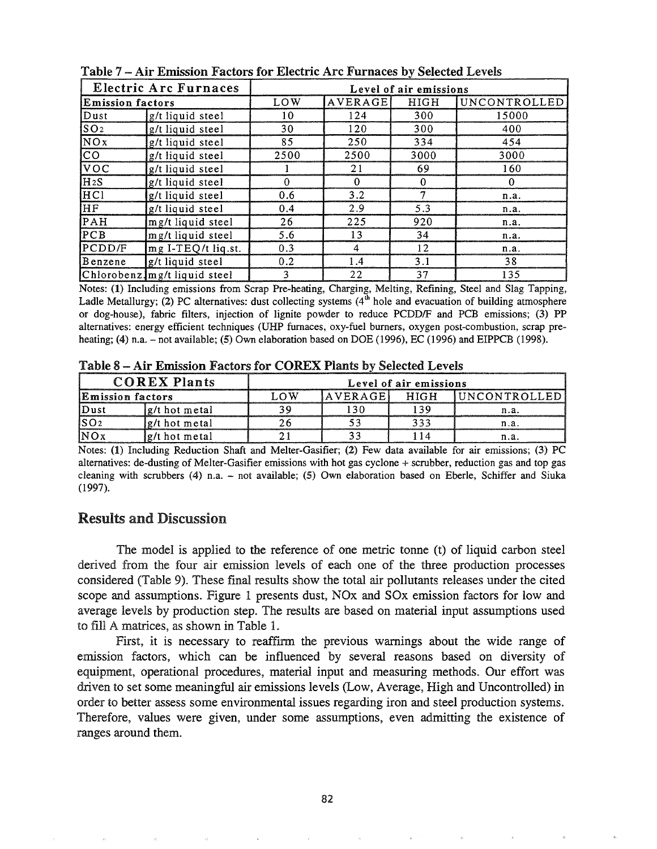| Electric Arc Furnaces   |                              | Level of air emissions |                |             |              |  |  |  |  |
|-------------------------|------------------------------|------------------------|----------------|-------------|--------------|--|--|--|--|
| <b>Emission factors</b> |                              | LOW                    | AVERAGE        | <b>HIGH</b> | UNCONTROLLED |  |  |  |  |
| Dust                    | g/t liquid steel             | 10                     | 124            | 300         | 15000        |  |  |  |  |
| SO <sub>2</sub>         | g/t liquid steel             | 30                     | 120            | 300         | 400          |  |  |  |  |
| NOX                     | g/t liquid steel             | 85                     | 250            | 334         | 454          |  |  |  |  |
| <sub>CO</sub>           | g/t liquid steel             | 2500                   | 2500           | 3000        | 3000         |  |  |  |  |
| VOC                     | g/t liquid steel             |                        | 21             | 69          | 160          |  |  |  |  |
| H <sub>2</sub> S        | g/t liquid steel             | $\Omega$               | $\Omega$       | $\bf{0}$    | $\bf{0}$     |  |  |  |  |
| HC <sub>1</sub>         | g/t liquid steel             | 0.6                    | 3.2            | 7           | n.a.         |  |  |  |  |
| HF                      | g/t liquid steel             | 0.4                    | 2.9            | 5.3         | n.a.         |  |  |  |  |
| PAH                     | mg/t liquid steel            | 26                     | 225            | 920         | n.a.         |  |  |  |  |
| PCB                     | mg/t liquid steel            | 5.6                    | 13             | 34          | n.a.         |  |  |  |  |
| PCDD/F                  | mg I-TEQ/t liq.st.           | 0.3                    | $\overline{4}$ | 12          | n.a.         |  |  |  |  |
| Benzene                 | g/t liquid steel             | 0.2                    | 1.4            | 3.1         | 38           |  |  |  |  |
|                         | Chlorobenz.mg/t liquid steel | 3                      | 22             | 37          | 135          |  |  |  |  |

Table 7 - Air Emission Factors for Electric Arc Furnaces by Selected Levels

Notes: (1) Including emissions from Scrap Pre-heating, Charging, Melting, Refining, Steel and Slag Tapping, Ladle Metallurgy; (2) PC alternatives: dust collecting systems  $(4<sup>th</sup>$  hole and evacuation of building atmosphere or dog-house), fabric filters, injection of lignite powder to reduce *PCDDIF* and PCB emissions; (3) PP alternatives: energy efficient techniques (UHP furnaces, oxy-fuel burners, oxygen post-combustion, scrap preheating; (4) n.a. - not available; (5) Own elaboration based on DOE (1996), EC (1996) and EIPPCB (1998).

Table 8 -- Air Emission Factors for COREX Plants by Selected Levels

|                          | <b>COREX Plants</b> | Level of air emissions |  |  |                             |  |  |  |
|--------------------------|---------------------|------------------------|--|--|-----------------------------|--|--|--|
| <b>IEmission factors</b> |                     | ∩w                     |  |  | AVERAGEL HIGH IUNCONTROLLED |  |  |  |
|                          | g/t hot metal       |                        |  |  |                             |  |  |  |
|                          | g/t hot metal       |                        |  |  |                             |  |  |  |
|                          | lg/t hot metal      |                        |  |  |                             |  |  |  |

Notes: (1) Including Reduction Shaft and Melter-Gasifier; (2) Few data available for air emissions; (3) PC alternatives: de-dusting of Melter-Gasifier emissions with hot gas cyclone + scrubber, reduction gas and top gas cleaning with scrubbers (4) n.a. - not available; (5) Own elaboration based on Eberle, Schiffer and Siuka (1997).

## Results and Discussion

The model is applied to the reference of one metric tonne (t) of liquid carbon steel derived from the four air emission levels of each one of the three production processes considered (Table 9). These final results show the total air pollutants releases under the cited scope and assumptions. Figure 1 presents dust, NOx and SOx emission factors for low and average levels by production step. The results are based on material input assumptions used to fill A matrices, as shown in Table 1..

First, it is necessary to reaffrrm the previous warnings about the wide range of emission factors, which can be influenced by several reasons based on diversity of equipment, operational procedures, material input and measuring methods.. Our effort was driven to set some meaningful air emissions levels (Low, Average, High and Uncontrolled) in order to better assess some environmental issues regarding iron and steel production systems.. Therefore, values were given, under some assumptions, even admitting the existence of ranges around them.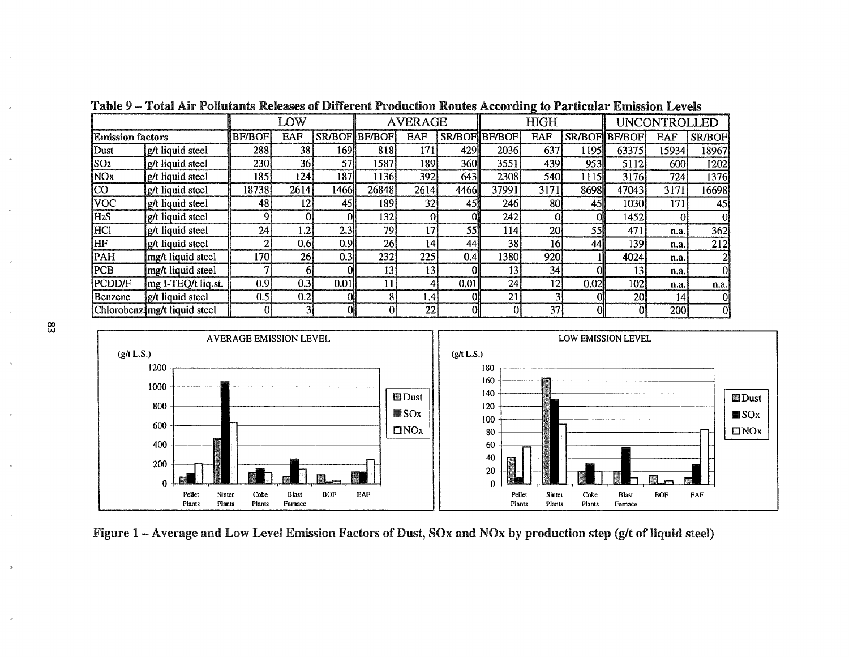| LOW                     |                              |               |                 | <b>AVERAGE</b> |               |                 | <b>HIGH</b><br>UNCONTROLLED |          |                 |            |                             |            |               |
|-------------------------|------------------------------|---------------|-----------------|----------------|---------------|-----------------|-----------------------------|----------|-----------------|------------|-----------------------------|------------|---------------|
| <b>Emission factors</b> |                              | <b>BF/BOF</b> | <b>EAF</b>      |                | SR/BOF BF/BOF | EAF             | SR/BOF BF/BOF               |          | <b>EAF</b>      |            | <b>SR/BOFIBF/BOF</b><br>EAF |            | <b>SR/BOF</b> |
| Dust                    | g/t liquid steel             | 288           | 38              | 169            | 818           | 171             | 4291                        | 2036     | 637             | 1195       | 63375                       | 15934      | 18967         |
| SO <sub>2</sub>         | g/t liquid steel             | <b>230</b>    | 36              | 571            | 1587          | 189             | <b>360</b>                  | 3551     | 439             | 9531       | 5112                        | 600        | 1202          |
| <b>NOx</b>              | g/t liquid steel             | 185           | 124             | 187            | 1136          | 392             | 643                         | 2308     | 540             | 1115       | 3176                        | 724        | 1376          |
| ]CO                     | g/t liquid steel             | 18738         | 2614            | 1466           | 26848         | 2614            | 4466ll                      | 37991    | 3171            | 8698       | 47043                       | 3171       | 16698         |
| <b>NOC</b>              | g/t liquid steel             | 48            | 12 <sub>1</sub> | 45I            | 189           | 32              | 45I                         | 246      | 80              | 45I        | 1030                        | 171        | 45            |
| H <sub>2</sub> S        | g/t liquid steel             |               |                 |                | 1321          |                 |                             | 242      |                 |            | 1452                        |            |               |
| <b>HCI</b>              | g/t liquid steel             | 24            | 1.2             | 2.3            | 79            | 17              | 55                          | 114      | 20 <sub>1</sub> | <b>55I</b> | 471                         | n.a.       | 362           |
| HF                      | g/t liquid steel             | 2             | 0.6             | 0.9            | 26            | 141             | 44                          | 38       | 16              | 441        | 139                         | n.a.       | 212           |
| <b>PAH</b>              | mg/t liquid steel            | 170           | 26              | 0.3            | 232           | 225             | 0.4 <sup>1</sup>            | 1380     | 920             |            | 4024                        | n.a.       |               |
| PCB                     | mg/t liquid steel            |               |                 |                | 13            | 13 <sub>l</sub> |                             | 13       | 34              |            | 13 <sub>1</sub>             | n.a.       |               |
| <b>PCDD/F</b>           | mg I-TEQ/t liq.st.           | 0.9           | 0.3             | 0.01           |               | Δ.              | 0.01                        | 24       | 12              | 0.02       | 102                         | n.a.       | n.a.          |
| Benzene                 | g/t liquid steel             | 0.5           | 0.2             | Ol             | 8             | 1.4             |                             | 21       |                 |            | 20 <sub>l</sub>             | 141        | 0             |
|                         | Chlorobenz mg/t liquid steel | $\Omega$      |                 | Ol             |               | 22              |                             | $\Omega$ | 37              |            |                             | <b>200</b> |               |

Table 9 - Total Air Pollutants Releases of Different Production Routes According to Particular Emission Levels





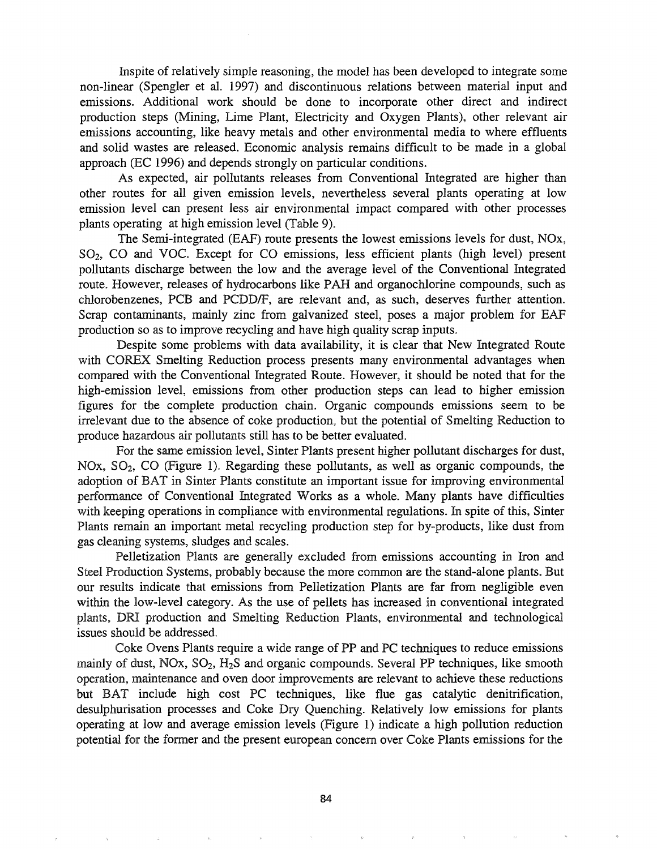Inspite of relatively simple reasoning, the model has been developed to integrate some non-linear (Spengler et al. 1997) and discontinuous relations between material input and emissions. Additional work should be done to incorporate other direct and indirect production steps (Mining, Lime Plant, Electricity and Oxygen Plants), other relevant air emissions accounting, like heavy metals and other environmental media to where effluents and solid wastes are released. Economic analysis remains difficult to be made in a global approach (EC 1996) and depends strongly on particular conditions.

As expected, air pollutants releases from Conventional Integrated are higher than other routes for all given emission levels, nevertheless several plants operating at low emission level can present less air environmental impact compared with other processes plants operating at high emission level (Table 9).

The Semi-integrated (EAF) route presents the lowest emissions levels for dust, NOx, S02, CO and VOC. Except for CO emissions, less efficient plants (high level) present pollutants discharge between the low and the average level of the Conventional Integrated route. However, releases of hydrocarbons like PAH and organochlorine compounds, such as chlorobenzenes, PCB and PCDD/F, are relevant and, as such, deserves further attention. Scrap contaminants, mainly zinc from galvanized steel, poses a major problem for EAF production so as to improve recycling and have high quality scrap inputs.

Despite some problems with data availability, it is clear that New Integrated Route with COREX Smelting Reduction process presents many environmental advantages when compared with the Conventional Integrated Route. However, it should be noted that for the high-emission level, emissions from other production steps can lead to higher emission figures for the complete production chain. Organic compounds emissions seem to be irrelevant due to the absence of coke production, but the potential of Smelting Reduction to produce hazardous air pollutants still has to be better evaluated.

For the same emission level, Sinter Plants present higher pollutant discharges for dust, NOx, SO<sub>2</sub>, CO (Figure 1). Regarding these pollutants, as well as organic compounds, the adoption of BAT in Sinter Plants constitute an important issue for improving environmental performance of Conventional Integrated Warks as a whole. Many plants have difficulties with keeping operations in compliance with environmental regulations. In spite of this, Sinter Plants remain an important metal recycling production step for by-products, like dust from gas cleaning systems, sludges and scales.

Pelletization Plants are generally excluded from emissions accounting in Iron and Steel Production Systems, probably because the more common are the stand-alone plants. But our results indicate that emissions from Pelletization Plants are far from negligible even within the low-level category. As the use of pellets has increased in conventional integrated plants, DR! production and Smelting Reduction Plants, environmental and technological issues should be addressed.

Coke Ovens Plants require a wide range of PP and PC techniques to reduce emissions mainly of dust, NOx, *SOz, HzS* and organic compounds. Several PP techniques, like smooth operation, maintenance and oven door improvements are relevant to achieve these reductions but BAT include high cost PC techniques, like flue gas catalytic denitrification, desulphurisation processes and Coke Dry Quenching. Relatively low emissions for plants operating at low and average emission levels (Figure 1) indicate a high pollution reduction potential for the former and the present european concern over Coke Plants emissions for the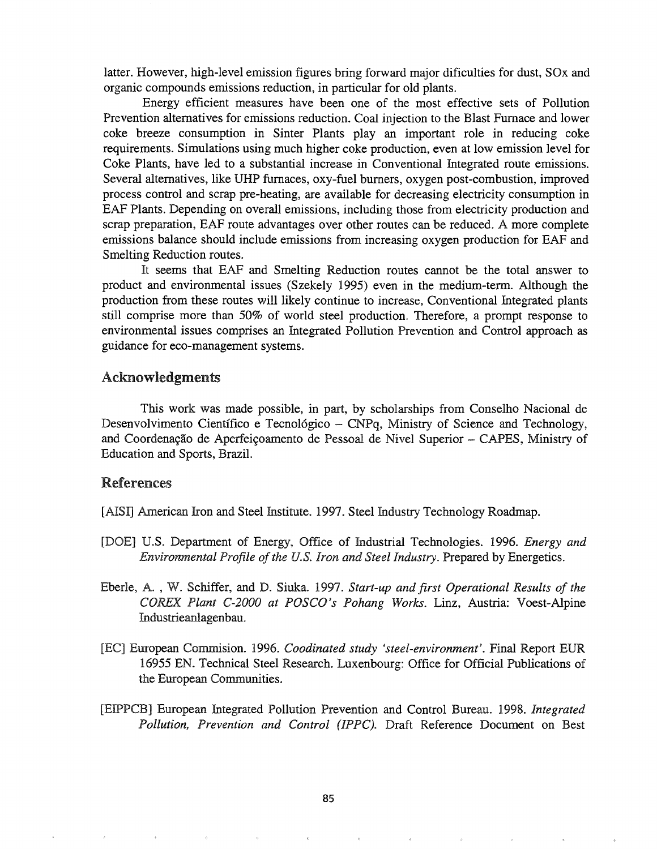latter. However, high-level emission figures bring forward major dificulties for dust, SOx and organic compounds emissions reduction, in particular for old plants.

Energy efficient measures have been one of the most effective sets of Pollution Prevention alternatives for emissions reduction. Coal injection to the Blast Furnace and lower coke breeze consumption in Sinter Plants play an important role in reducing coke requirements. Simulations using much higher coke production, even at low emission level for Coke Plants, have led to a substantial increase in Conventional Integrated route emissions. Several alternatives, like UHP furnaces, oxy-fuel burners, oxygen post-combustion, improved process control and scrap pre-heating, are available for decreasing electricity consumption in EAF Plants. Depending on overall emissions, including those from electricity production and scrap preparation, EAF route advantages over other routes can be reduced. A more complete emissions balance should include emissions from increasing oxygen production for EAF and Smelting Reduction routes.

It seems that EAF and Smelting Reduction routes cannot be the total answer to product and environmental issues (Szekely 1995) even in the medium-term.. Although the production from these routes will likely continue to increase, Conventional Integrated plants still comprise more than 50% of world steel production. Therefore, a prompt response to environmental issues comprises an Integrated Pollution Prevention and Control approach as guidance for eco-management systems.

#### Acknowledgments

This work was made possible, in part, by scholarships from Conselho Nacional de Desenvolvimento Científico e Tecnológico - CNPq, Ministry of Science and Technology, and Coordenação de Aperfeiçoamento de Pessoal de Nivel Superior - CAPES, Ministry of Education and Sports, Brazil.

### References

- [AISI] American Iron and Steel Institute. 1997. Steel Industry Technology Roadmap.
- [DOE] U.S. Department of Energy, Office of Industrial Technologies. 1996. *Energy and Environmental Profile of the U.S. Iron and Steel Industry. Prepared by Energetics.*
- Eberle, A. , Schiffer, and D. Siuka. 1997. *Start-up and first Operational Results of the COREX. Plant C-2000 at POSCO's Pohang Works.* Linz, Austria: Voest-Alpine Industrieanlagenbau.
- [Ee] European Commision. 1996. *Coodinated study 'steel-environment'.* Final Report EUR 16955 EN. Technical Steel Research. Luxenbourg: Office for Official Publications of the European Communities.
- [EIPPCB] European Integrated Pollution Prevention and Control Bureau. 1998. *Integrated Pollution, Prevention and Control (IPPC).* Draft Reference Document on Best